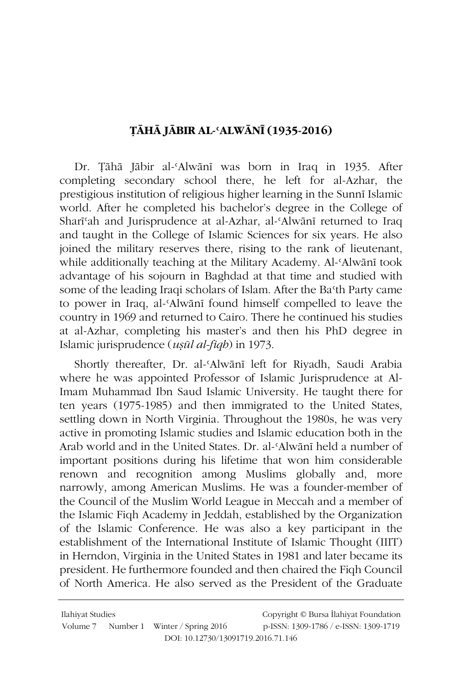## TĀHĀ IĀBIR AL-'ALWĀNĪ (1935-2016)

Dr. Țāhā Jābir al-'Alwānī was born in Iraq in 1935. After completing secondary school there, he left for al-Azhar, the prestigious institution of religious higher learning in the Sunni Islamic world. After he completed his bachelor's degree in the College of Shari'ah and Jurisprudence at al-Azhar, al-'Alwānī returned to Iraq and taught in the College of Islamic Sciences for six years. He also joined the military reserves there, rising to the rank of lieutenant, while additionally teaching at the Military Academy. Al-'Alwānī took advantage of his sojourn in Baghdad at that time and studied with some of the leading Iraqi scholars of Islam. After the Ba'th Party came to power in Iraq, al-'Alwānī found himself compelled to leave the country in 1969 and returned to Cairo. There he continued his studies at al-Azhar, completing his master's and then his PhD degree in Islamic jurisprudence (*usūl al-figh*) in 1973.

Shortly thereafter, Dr. al-'Alwānī left for Riyadh, Saudi Arabia where he was appointed Professor of Islamic Jurisprudence at Al-Imam Muhammad Ibn Saud Islamic University. He taught there for ten years (1975-1985) and then immigrated to the United States, settling down in North Virginia. Throughout the 1980s, he was very active in promoting Islamic studies and Islamic education both in the Arab world and in the United States. Dr. al-'Alwānī held a number of important positions during his lifetime that won him considerable renown and recognition among Muslims globally and, more narrowly, among American Muslims. He was a founder-member of the Council of the Muslim World League in Meccah and a member of the Islamic Figh Academy in Jeddah, established by the Organization of the Islamic Conference. He was also a key participant in the establishment of the International Institute of Islamic Thought (IIIT) in Herndon, Virginia in the United States in 1981 and later became its president. He furthermore founded and then chaired the Figh Council of North America. He also served as the President of the Graduate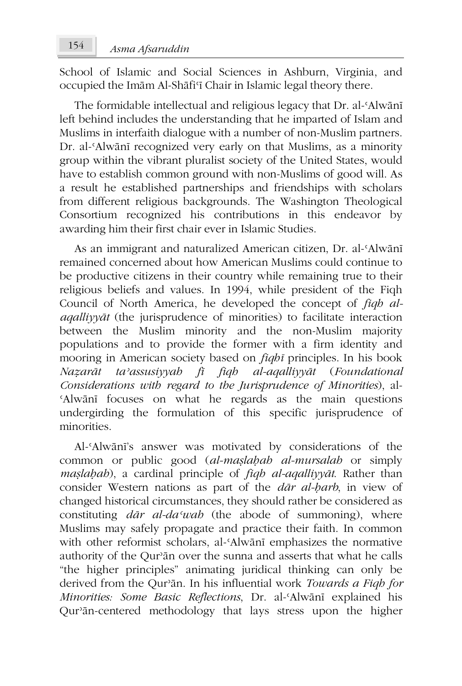School of Islamic and Social Sciences in Ashburn, Virginia, and occupied the Imām Al-Shāfi'ī Chair in Islamic legal theory there.

The formidable intellectual and religious legacy that Dr. al-Alwānī left behind includes the understanding that he imparted of Islam and Muslims in interfaith dialogue with a number of non-Muslim partners. Dr. al-'Alwānī recognized very early on that Muslims, as a minority group within the vibrant pluralist society of the United States, would have to establish common ground with non-Muslims of good will. As a result he established partnerships and friendships with scholars from different religious backgrounds. The Washington Theological Consortium recognized his contributions in this endeavor by awarding him their first chair ever in Islamic Studies.

As an immigrant and naturalized American citizen, Dr. al-'Alwānī remained concerned about how American Muslims could continue to be productive citizens in their country while remaining true to their religious beliefs and values. In 1994, while president of the Figh Council of North America, he developed the concept of *figh alagallivyat* (the jurisprudence of minorities) to facilitate interaction between the Muslim minority and the non-Muslim majority populations and to provide the former with a firm identity and mooring in American society based on *fiqhi* principles. In his book Nazarāt ta'assusiyyah fī fiqh al-aqalliyyāt (Foundational Considerations with regard to the Jurisprudence of Minorities), al-'Alwānī focuses on what he regards as the main questions undergirding the formulation of this specific jurisprudence of minorities

Al-'Alwānī's answer was motivated by considerations of the common or public good (al-maslabab al-mursalab or simply maslabab), a cardinal principle of *figh al-agalliyyat*. Rather than consider Western nations as part of the *dar al-barb*, in view of changed historical circumstances, they should rather be considered as constituting *dar al-da'wab* (the abode of summoning), where Muslims may safely propagate and practice their faith. In common with other reformist scholars, al-'Alwānī emphasizes the normative authority of the Qur'an over the sunna and asserts that what he calls "the higher principles" animating juridical thinking can only be derived from the Qur'an. In his influential work Towards a Figh for Minorities: Some Basic Reflections, Dr. al-'Alwānī explained his Qur'an-centered methodology that lays stress upon the higher